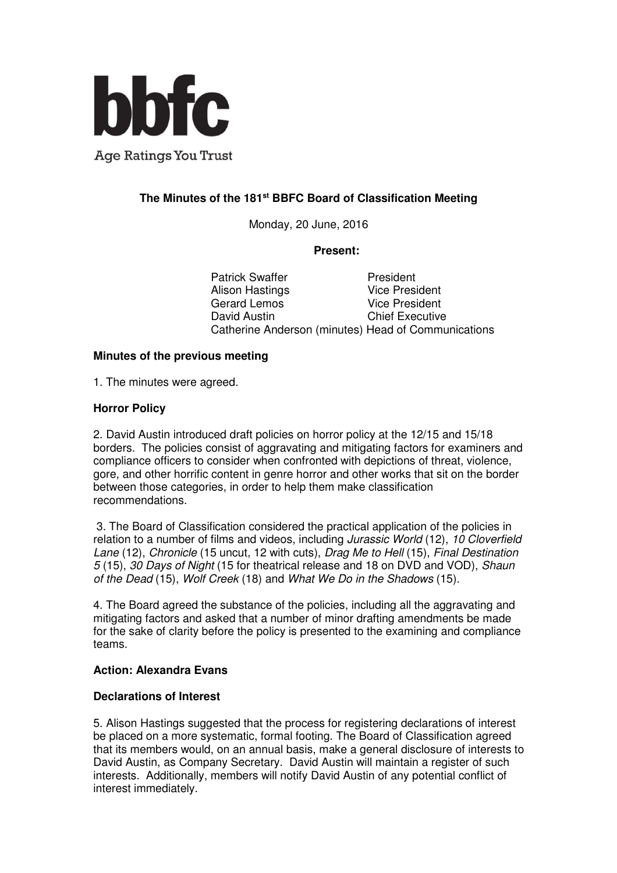

# **The Minutes of the 181st BBFC Board of Classification Meeting**

Monday, 20 June, 2016

#### **Present:**

Patrick Swaffer<br>
Alison Hastings<br>
Pice President Alison Hastings Gerard Lemos Vice President David Austin Chief Executive Catherine Anderson (minutes) Head of Communications

#### **Minutes of the previous meeting**

1. The minutes were agreed.

#### **Horror Policy**

2. David Austin introduced draft policies on horror policy at the 12/15 and 15/18 borders. The policies consist of aggravating and mitigating factors for examiners and compliance officers to consider when confronted with depictions of threat, violence, gore, and other horrific content in genre horror and other works that sit on the border between those categories, in order to help them make classification recommendations.

 3. The Board of Classification considered the practical application of the policies in relation to a number of films and videos, including *Jurassic World* (12), 10 Cloverfield Lane (12), Chronicle (15 uncut, 12 with cuts), Drag Me to Hell (15), Final Destination 5 (15), 30 Days of Night (15 for theatrical release and 18 on DVD and VOD), Shaun of the Dead (15), Wolf Creek (18) and What We Do in the Shadows (15).

4. The Board agreed the substance of the policies, including all the aggravating and mitigating factors and asked that a number of minor drafting amendments be made for the sake of clarity before the policy is presented to the examining and compliance teams.

#### **Action: Alexandra Evans**

#### **Declarations of Interest**

5. Alison Hastings suggested that the process for registering declarations of interest be placed on a more systematic, formal footing. The Board of Classification agreed that its members would, on an annual basis, make a general disclosure of interests to David Austin, as Company Secretary. David Austin will maintain a register of such interests. Additionally, members will notify David Austin of any potential conflict of interest immediately.